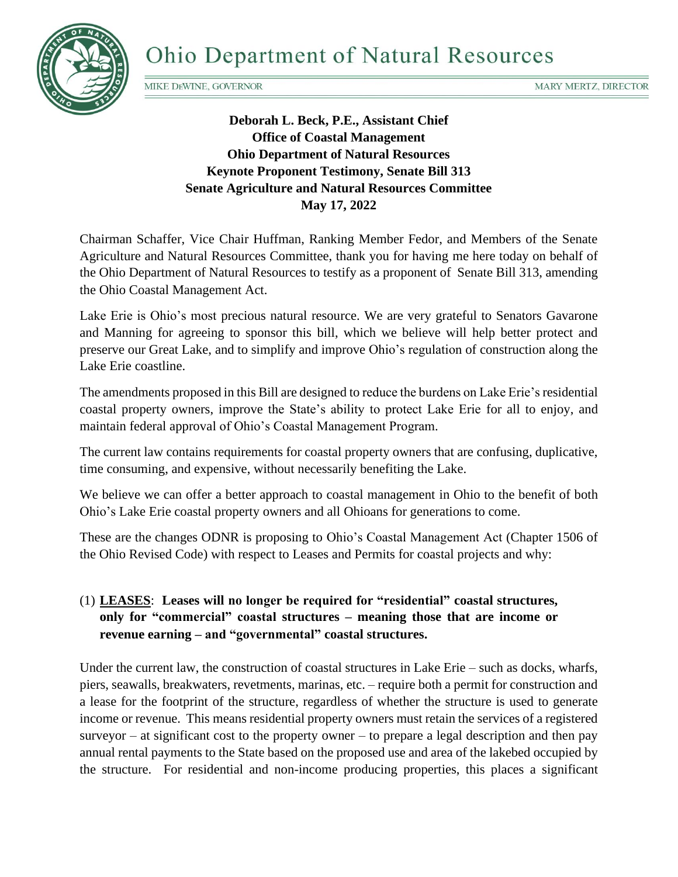

MIKE DEWINE, GOVERNOR

**Deborah L. Beck, P.E., Assistant Chief Office of Coastal Management Ohio Department of Natural Resources Keynote Proponent Testimony, Senate Bill 313 Senate Agriculture and Natural Resources Committee May 17, 2022**

Chairman Schaffer, Vice Chair Huffman, Ranking Member Fedor, and Members of the Senate Agriculture and Natural Resources Committee, thank you for having me here today on behalf of the Ohio Department of Natural Resources to testify as a proponent of Senate Bill 313, amending the Ohio Coastal Management Act.

Lake Erie is Ohio's most precious natural resource. We are very grateful to Senators Gavarone and Manning for agreeing to sponsor this bill, which we believe will help better protect and preserve our Great Lake, and to simplify and improve Ohio's regulation of construction along the Lake Erie coastline.

The amendments proposed in this Bill are designed to reduce the burdens on Lake Erie's residential coastal property owners, improve the State's ability to protect Lake Erie for all to enjoy, and maintain federal approval of Ohio's Coastal Management Program.

The current law contains requirements for coastal property owners that are confusing, duplicative, time consuming, and expensive, without necessarily benefiting the Lake.

We believe we can offer a better approach to coastal management in Ohio to the benefit of both Ohio's Lake Erie coastal property owners and all Ohioans for generations to come.

These are the changes ODNR is proposing to Ohio's Coastal Management Act (Chapter 1506 of the Ohio Revised Code) with respect to Leases and Permits for coastal projects and why:

## (1) **LEASES**: **Leases will no longer be required for "residential" coastal structures, only for "commercial" coastal structures – meaning those that are income or revenue earning – and "governmental" coastal structures.**

Under the current law, the construction of coastal structures in Lake Erie – such as docks, wharfs, piers, seawalls, breakwaters, revetments, marinas, etc. – require both a permit for construction and a lease for the footprint of the structure, regardless of whether the structure is used to generate income or revenue. This means residential property owners must retain the services of a registered surveyor – at significant cost to the property owner – to prepare a legal description and then pay annual rental payments to the State based on the proposed use and area of the lakebed occupied by the structure. For residential and non-income producing properties, this places a significant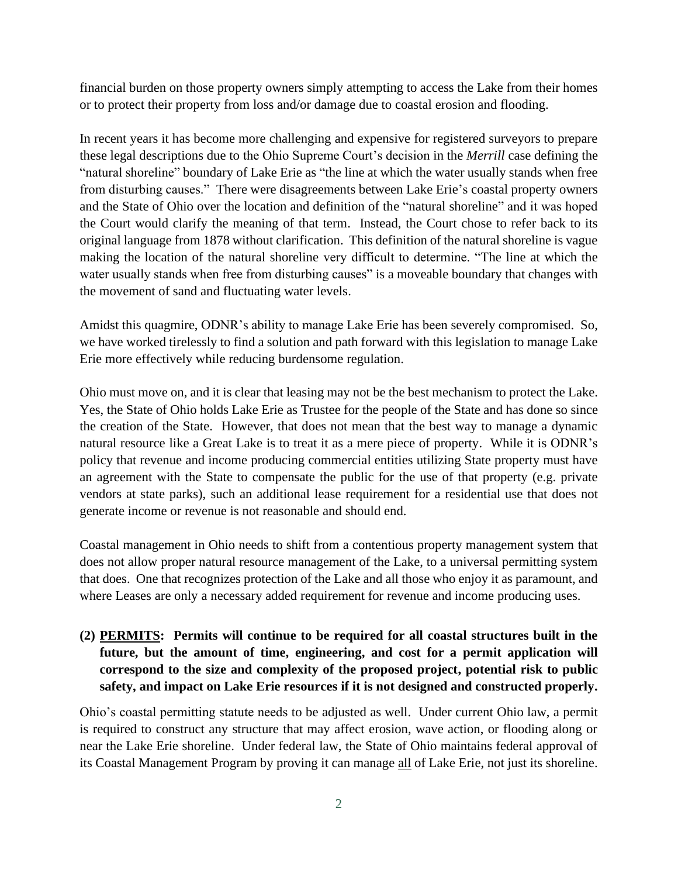financial burden on those property owners simply attempting to access the Lake from their homes or to protect their property from loss and/or damage due to coastal erosion and flooding.

In recent years it has become more challenging and expensive for registered surveyors to prepare these legal descriptions due to the Ohio Supreme Court's decision in the *Merrill* case defining the "natural shoreline" boundary of Lake Erie as "the line at which the water usually stands when free from disturbing causes." There were disagreements between Lake Erie's coastal property owners and the State of Ohio over the location and definition of the "natural shoreline" and it was hoped the Court would clarify the meaning of that term. Instead, the Court chose to refer back to its original language from 1878 without clarification. This definition of the natural shoreline is vague making the location of the natural shoreline very difficult to determine. "The line at which the water usually stands when free from disturbing causes" is a moveable boundary that changes with the movement of sand and fluctuating water levels.

Amidst this quagmire, ODNR's ability to manage Lake Erie has been severely compromised. So, we have worked tirelessly to find a solution and path forward with this legislation to manage Lake Erie more effectively while reducing burdensome regulation.

Ohio must move on, and it is clear that leasing may not be the best mechanism to protect the Lake. Yes, the State of Ohio holds Lake Erie as Trustee for the people of the State and has done so since the creation of the State. However, that does not mean that the best way to manage a dynamic natural resource like a Great Lake is to treat it as a mere piece of property. While it is ODNR's policy that revenue and income producing commercial entities utilizing State property must have an agreement with the State to compensate the public for the use of that property (e.g. private vendors at state parks), such an additional lease requirement for a residential use that does not generate income or revenue is not reasonable and should end.

Coastal management in Ohio needs to shift from a contentious property management system that does not allow proper natural resource management of the Lake, to a universal permitting system that does. One that recognizes protection of the Lake and all those who enjoy it as paramount, and where Leases are only a necessary added requirement for revenue and income producing uses.

## **(2) PERMITS: Permits will continue to be required for all coastal structures built in the future, but the amount of time, engineering, and cost for a permit application will correspond to the size and complexity of the proposed project, potential risk to public safety, and impact on Lake Erie resources if it is not designed and constructed properly.**

Ohio's coastal permitting statute needs to be adjusted as well. Under current Ohio law, a permit is required to construct any structure that may affect erosion, wave action, or flooding along or near the Lake Erie shoreline. Under federal law, the State of Ohio maintains federal approval of its Coastal Management Program by proving it can manage all of Lake Erie, not just its shoreline.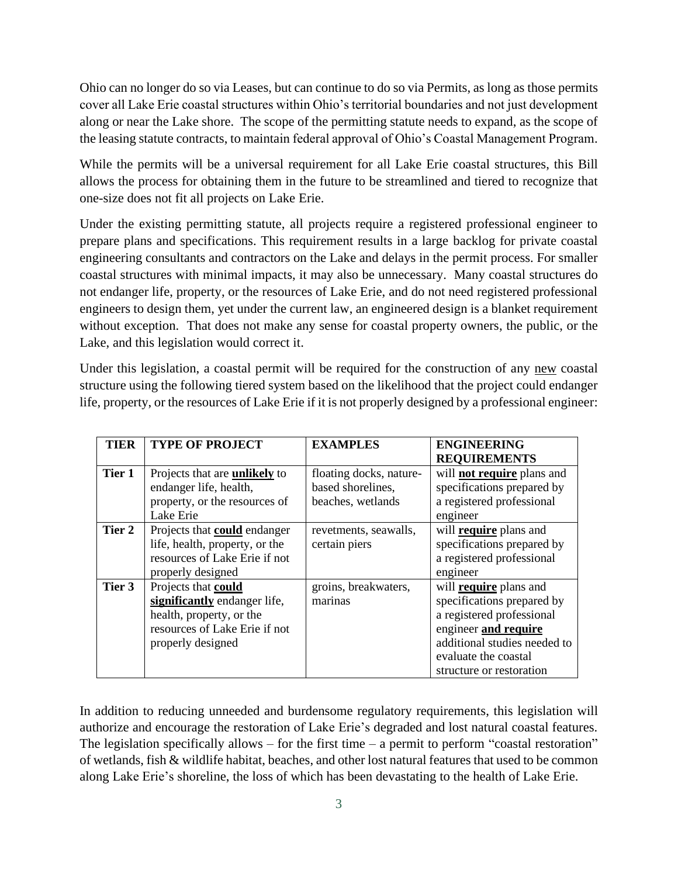Ohio can no longer do so via Leases, but can continue to do so via Permits, as long as those permits cover all Lake Erie coastal structures within Ohio's territorial boundaries and not just development along or near the Lake shore. The scope of the permitting statute needs to expand, as the scope of the leasing statute contracts, to maintain federal approval of Ohio's Coastal Management Program.

While the permits will be a universal requirement for all Lake Erie coastal structures, this Bill allows the process for obtaining them in the future to be streamlined and tiered to recognize that one-size does not fit all projects on Lake Erie.

Under the existing permitting statute, all projects require a registered professional engineer to prepare plans and specifications. This requirement results in a large backlog for private coastal engineering consultants and contractors on the Lake and delays in the permit process. For smaller coastal structures with minimal impacts, it may also be unnecessary. Many coastal structures do not endanger life, property, or the resources of Lake Erie, and do not need registered professional engineers to design them, yet under the current law, an engineered design is a blanket requirement without exception. That does not make any sense for coastal property owners, the public, or the Lake, and this legislation would correct it.

Under this legislation, a coastal permit will be required for the construction of any new coastal structure using the following tiered system based on the likelihood that the project could endanger life, property, or the resources of Lake Erie if it is not properly designed by a professional engineer:

| TIER   | <b>TYPE OF PROJECT</b>               | <b>EXAMPLES</b>         | <b>ENGINEERING</b>                |
|--------|--------------------------------------|-------------------------|-----------------------------------|
|        |                                      |                         | <b>REQUIREMENTS</b>               |
| Tier 1 | Projects that are <b>unlikely</b> to | floating docks, nature- | will <b>not require</b> plans and |
|        | endanger life, health,               | based shorelines,       | specifications prepared by        |
|        | property, or the resources of        | beaches, wetlands       | a registered professional         |
|        | Lake Erie                            |                         | engineer                          |
| Tier 2 | Projects that <b>could</b> endanger  | revetments, seawalls,   | will <b>require</b> plans and     |
|        | life, health, property, or the       | certain piers           | specifications prepared by        |
|        | resources of Lake Erie if not        |                         | a registered professional         |
|        | properly designed                    |                         | engineer                          |
| Tier 3 | Projects that could                  | groins, breakwaters,    | will <b>require</b> plans and     |
|        | significantly endanger life,         | marinas                 | specifications prepared by        |
|        | health, property, or the             |                         | a registered professional         |
|        | resources of Lake Erie if not        |                         | engineer and require              |
|        | properly designed                    |                         | additional studies needed to      |
|        |                                      |                         | evaluate the coastal              |
|        |                                      |                         | structure or restoration          |

In addition to reducing unneeded and burdensome regulatory requirements, this legislation will authorize and encourage the restoration of Lake Erie's degraded and lost natural coastal features. The legislation specifically allows – for the first time – a permit to perform "coastal restoration" of wetlands, fish & wildlife habitat, beaches, and other lost natural features that used to be common along Lake Erie's shoreline, the loss of which has been devastating to the health of Lake Erie.